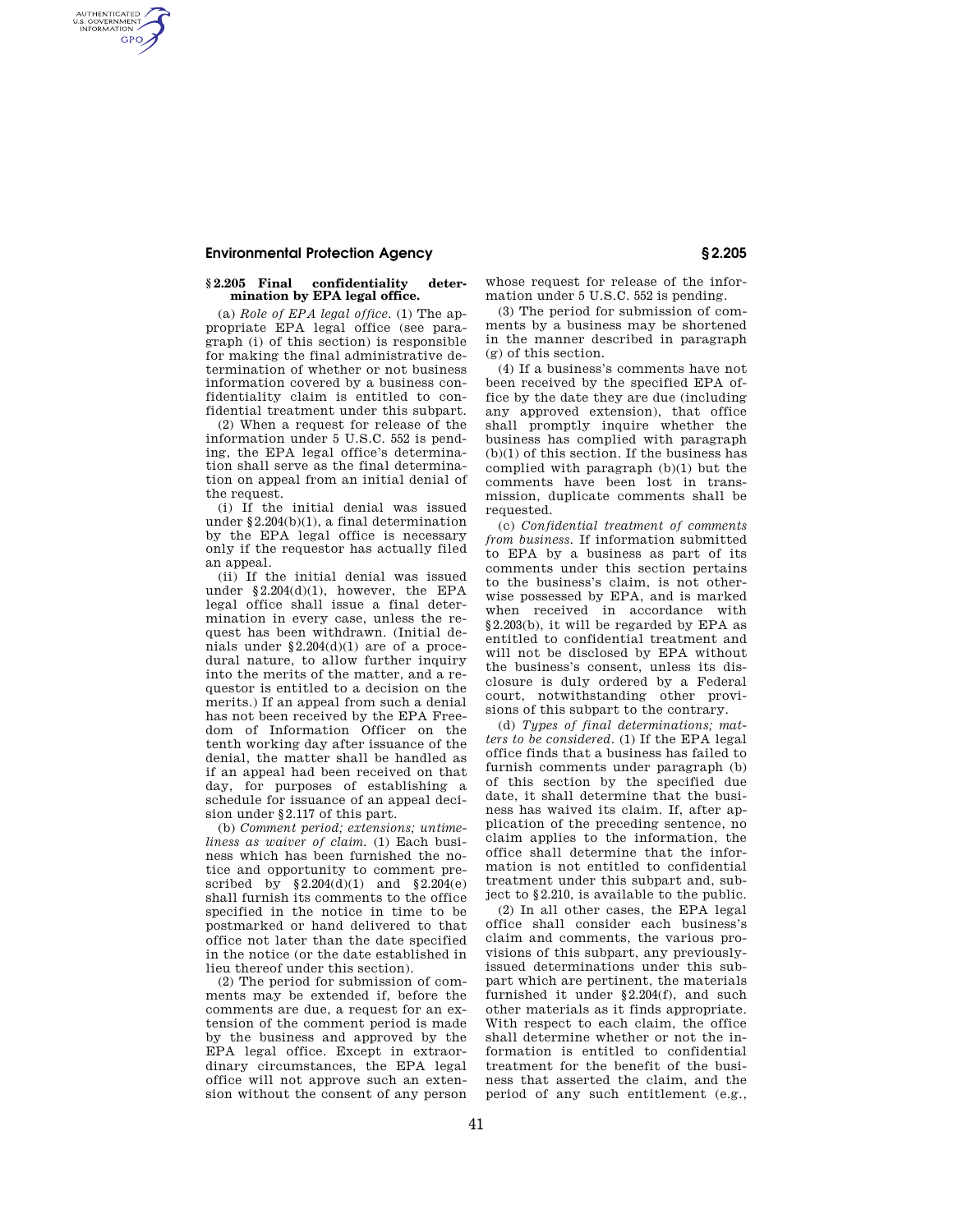## **Environmental Protection Agency § 2.205**

AUTHENTICATED<br>U.S. GOVERNMENT<br>INFORMATION **GPO** 

## **§ 2.205 Final confidentiality determination by EPA legal office.**

(a) *Role of EPA legal office.* (1) The appropriate EPA legal office (see paragraph (i) of this section) is responsible for making the final administrative determination of whether or not business information covered by a business confidentiality claim is entitled to confidential treatment under this subpart.

(2) When a request for release of the information under 5 U.S.C. 552 is pending, the EPA legal office's determination shall serve as the final determination on appeal from an initial denial of the request.

(i) If the initial denial was issued under §2.204(b)(1), a final determination by the EPA legal office is necessary only if the requestor has actually filed an appeal.

(ii) If the initial denial was issued under §2.204(d)(1), however, the EPA legal office shall issue a final determination in every case, unless the request has been withdrawn. (Initial denials under  $\S2.204(d)(1)$  are of a procedural nature, to allow further inquiry into the merits of the matter, and a requestor is entitled to a decision on the merits.) If an appeal from such a denial has not been received by the EPA Freedom of Information Officer on the tenth working day after issuance of the denial, the matter shall be handled as if an appeal had been received on that day, for purposes of establishing a schedule for issuance of an appeal decision under §2.117 of this part.

(b) *Comment period; extensions; untimeliness as waiver of claim.* (1) Each business which has been furnished the notice and opportunity to comment prescribed by §2.204(d)(1) and §2.204(e) shall furnish its comments to the office specified in the notice in time to be postmarked or hand delivered to that office not later than the date specified in the notice (or the date established in lieu thereof under this section).

(2) The period for submission of comments may be extended if, before the comments are due, a request for an extension of the comment period is made by the business and approved by the EPA legal office. Except in extraordinary circumstances, the EPA legal office will not approve such an extension without the consent of any person whose request for release of the information under 5 U.S.C. 552 is pending.

(3) The period for submission of comments by a business may be shortened in the manner described in paragraph (g) of this section.

(4) If a business's comments have not been received by the specified EPA office by the date they are due (including any approved extension), that office shall promptly inquire whether the business has complied with paragraph (b)(1) of this section. If the business has complied with paragraph (b)(1) but the comments have been lost in transmission, duplicate comments shall be requested

(c) *Confidential treatment of comments from business.* If information submitted to EPA by a business as part of its comments under this section pertains to the business's claim, is not otherwise possessed by EPA, and is marked when received in accordance with §2.203(b), it will be regarded by EPA as entitled to confidential treatment and will not be disclosed by EPA without the business's consent, unless its disclosure is duly ordered by a Federal court, notwithstanding other provisions of this subpart to the contrary.

(d) *Types of final determinations; matters to be considered.* (1) If the EPA legal office finds that a business has failed to furnish comments under paragraph (b) of this section by the specified due date, it shall determine that the business has waived its claim. If, after application of the preceding sentence, no claim applies to the information, the office shall determine that the information is not entitled to confidential treatment under this subpart and, subject to §2.210, is available to the public.

(2) In all other cases, the EPA legal office shall consider each business's claim and comments, the various provisions of this subpart, any previouslyissued determinations under this subpart which are pertinent, the materials furnished it under §2.204(f), and such other materials as it finds appropriate. With respect to each claim, the office shall determine whether or not the information is entitled to confidential treatment for the benefit of the business that asserted the claim, and the period of any such entitlement (e.g.,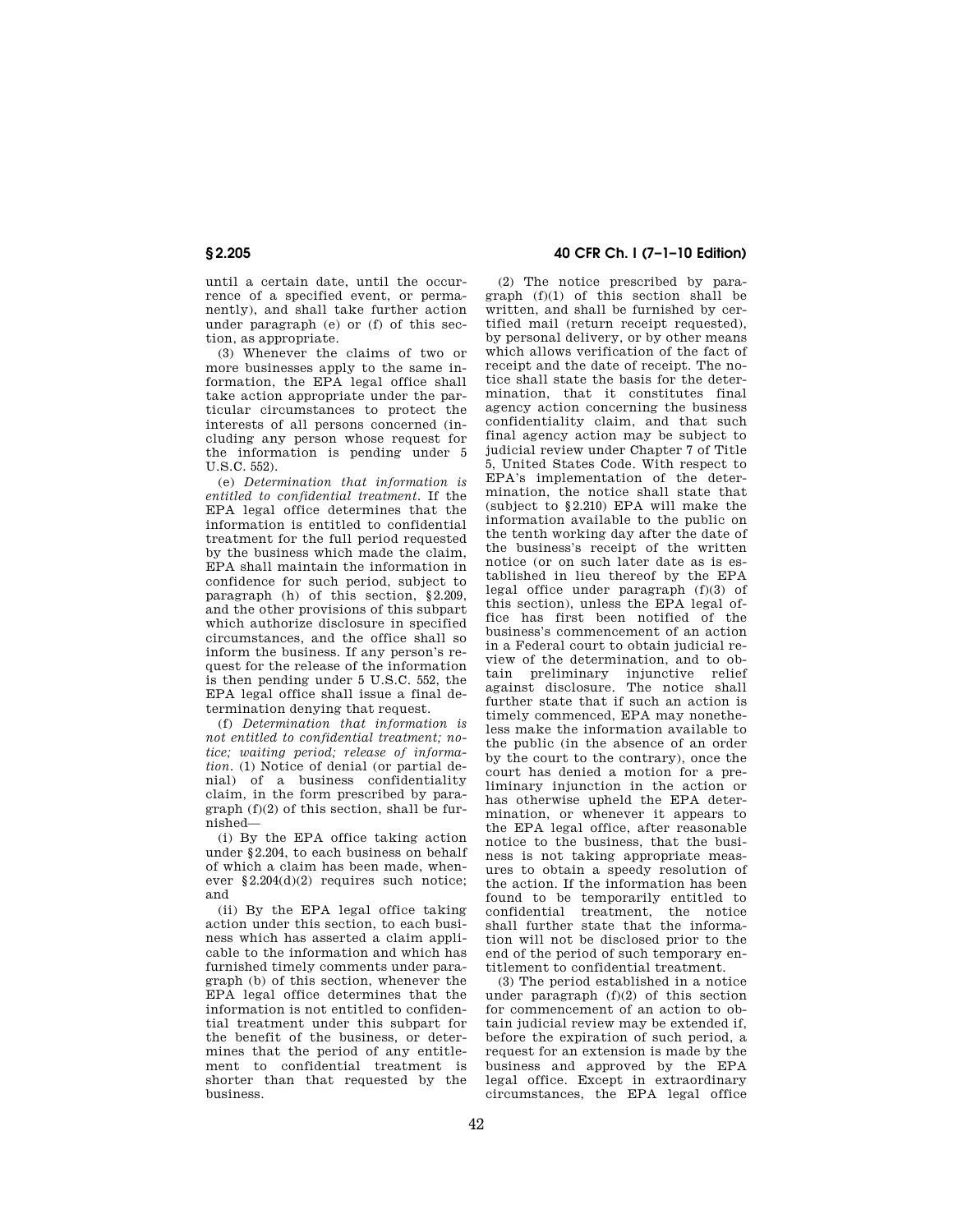until a certain date, until the occurrence of a specified event, or permanently), and shall take further action under paragraph (e) or (f) of this section, as appropriate.

(3) Whenever the claims of two or more businesses apply to the same information, the EPA legal office shall take action appropriate under the particular circumstances to protect the interests of all persons concerned (including any person whose request for the information is pending under 5 U.S.C. 552).

(e) *Determination that information is entitled to confidential treatment.* If the EPA legal office determines that the information is entitled to confidential treatment for the full period requested by the business which made the claim, EPA shall maintain the information in confidence for such period, subject to paragraph (h) of this section, §2.209, and the other provisions of this subpart which authorize disclosure in specified circumstances, and the office shall so inform the business. If any person's request for the release of the information is then pending under 5 U.S.C. 552, the EPA legal office shall issue a final determination denying that request.

(f) *Determination that information is not entitled to confidential treatment; notice; waiting period; release of information.* (1) Notice of denial (or partial denial) of a business confidentiality claim, in the form prescribed by paragraph (f)(2) of this section, shall be furnished—

(i) By the EPA office taking action under §2.204, to each business on behalf of which a claim has been made, whenever §2.204(d)(2) requires such notice; and

(ii) By the EPA legal office taking action under this section, to each business which has asserted a claim applicable to the information and which has furnished timely comments under paragraph (b) of this section, whenever the EPA legal office determines that the information is not entitled to confidential treatment under this subpart for the benefit of the business, or determines that the period of any entitlement to confidential treatment is shorter than that requested by the business.

## **§ 2.205 40 CFR Ch. I (7–1–10 Edition)**

(2) The notice prescribed by paragraph (f)(1) of this section shall be written, and shall be furnished by certified mail (return receipt requested), by personal delivery, or by other means which allows verification of the fact of receipt and the date of receipt. The notice shall state the basis for the determination, that it constitutes final agency action concerning the business confidentiality claim, and that such final agency action may be subject to judicial review under Chapter 7 of Title 5, United States Code. With respect to EPA's implementation of the determination, the notice shall state that (subject to §2.210) EPA will make the information available to the public on the tenth working day after the date of the business's receipt of the written notice (or on such later date as is established in lieu thereof by the EPA legal office under paragraph (f)(3) of this section), unless the EPA legal office has first been notified of the business's commencement of an action in a Federal court to obtain judicial review of the determination, and to obtain preliminary injunctive relief against disclosure. The notice shall further state that if such an action is timely commenced, EPA may nonetheless make the information available to the public (in the absence of an order by the court to the contrary), once the court has denied a motion for a preliminary injunction in the action or has otherwise upheld the EPA determination, or whenever it appears to the EPA legal office, after reasonable notice to the business, that the business is not taking appropriate measures to obtain a speedy resolution of the action. If the information has been found to be temporarily entitled to confidential treatment, the notice shall further state that the information will not be disclosed prior to the end of the period of such temporary entitlement to confidential treatment.

(3) The period established in a notice under paragraph (f)(2) of this section for commencement of an action to obtain judicial review may be extended if, before the expiration of such period, a request for an extension is made by the business and approved by the EPA legal office. Except in extraordinary circumstances, the EPA legal office